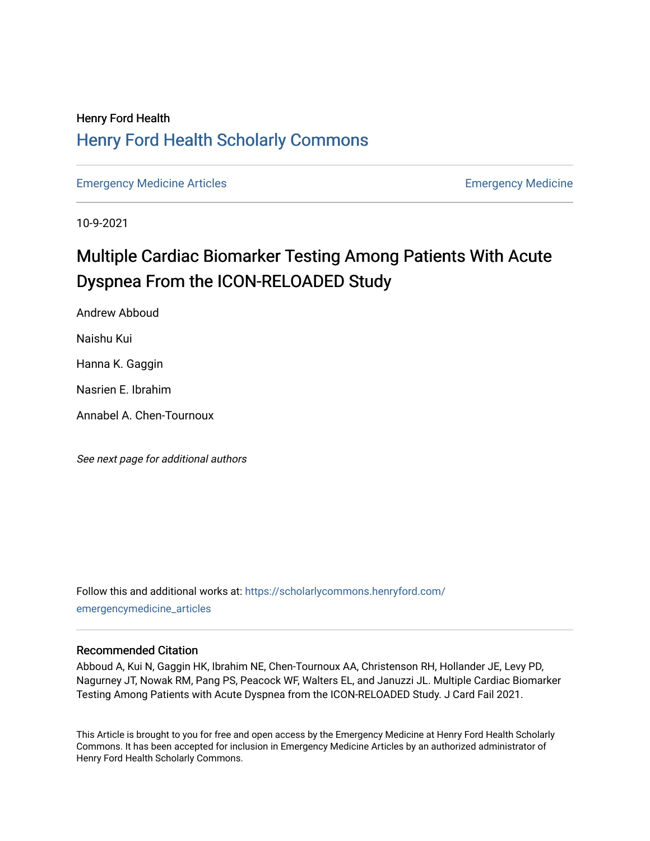# Henry Ford Health [Henry Ford Health Scholarly Commons](https://scholarlycommons.henryford.com/)

[Emergency Medicine Articles](https://scholarlycommons.henryford.com/emergencymedicine_articles) **Emergency Medicine** 

10-9-2021

# Multiple Cardiac Biomarker Testing Among Patients With Acute Dyspnea From the ICON-RELOADED Study

Andrew Abboud

Naishu Kui

Hanna K. Gaggin

Nasrien E. Ibrahim

Annabel A. Chen-Tournoux

See next page for additional authors

Follow this and additional works at: [https://scholarlycommons.henryford.com/](https://scholarlycommons.henryford.com/emergencymedicine_articles?utm_source=scholarlycommons.henryford.com%2Femergencymedicine_articles%2F254&utm_medium=PDF&utm_campaign=PDFCoverPages) [emergencymedicine\\_articles](https://scholarlycommons.henryford.com/emergencymedicine_articles?utm_source=scholarlycommons.henryford.com%2Femergencymedicine_articles%2F254&utm_medium=PDF&utm_campaign=PDFCoverPages) 

# Recommended Citation

Abboud A, Kui N, Gaggin HK, Ibrahim NE, Chen-Tournoux AA, Christenson RH, Hollander JE, Levy PD, Nagurney JT, Nowak RM, Pang PS, Peacock WF, Walters EL, and Januzzi JL. Multiple Cardiac Biomarker Testing Among Patients with Acute Dyspnea from the ICON-RELOADED Study. J Card Fail 2021.

This Article is brought to you for free and open access by the Emergency Medicine at Henry Ford Health Scholarly Commons. It has been accepted for inclusion in Emergency Medicine Articles by an authorized administrator of Henry Ford Health Scholarly Commons.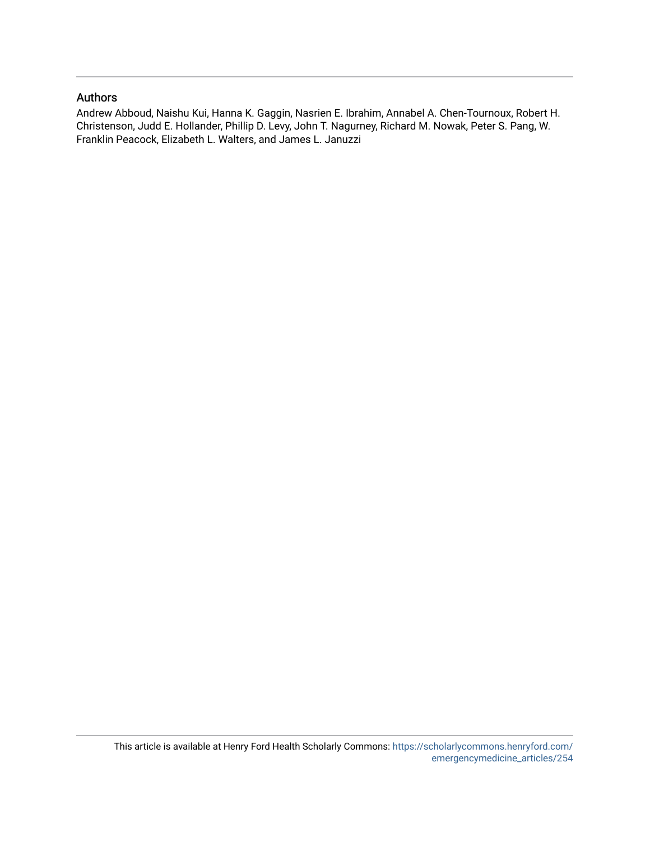# Authors

Andrew Abboud, Naishu Kui, Hanna K. Gaggin, Nasrien E. Ibrahim, Annabel A. Chen-Tournoux, Robert H. Christenson, Judd E. Hollander, Phillip D. Levy, John T. Nagurney, Richard M. Nowak, Peter S. Pang, W. Franklin Peacock, Elizabeth L. Walters, and James L. Januzzi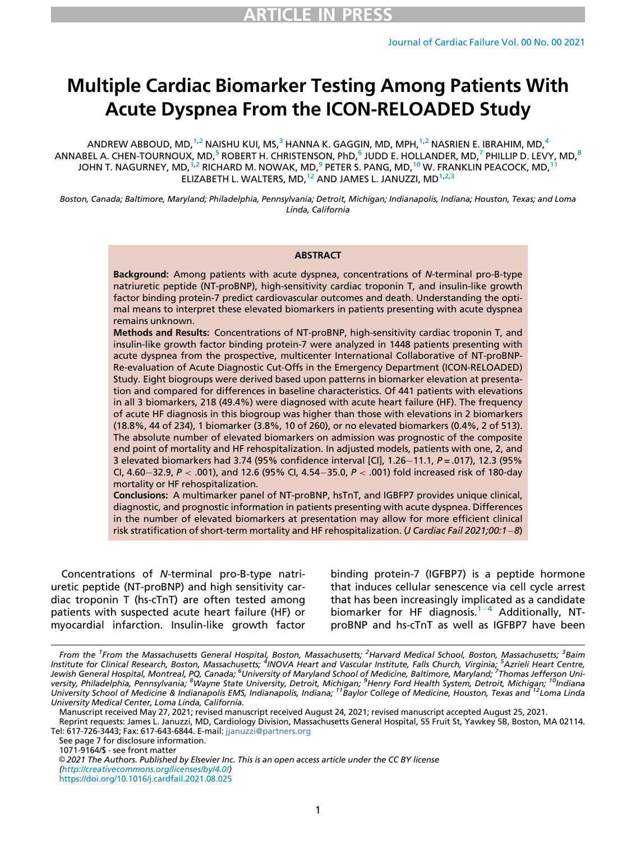# Multiple Cardiac Biomarker Testing Among Patients With Acute Dyspnea From the ICON-RELOADED Study

ANDREW ABBOUD, MD,  $1.2$  $1.2$  $1.2$  NAISHU KUI, MS,  $3$  HANNA K. GAGGIN, MD, MPH,  $1.2$  NASRIEN E. IBRAHIM, MD,  $4$ ANNABEL A. CHEN-TOURNOUX, MD,<sup>[5](#page-2-1)</sup> ROBERT H. CHRISTENSON, PhD,<sup>[6](#page-2-2)</sup> JUDD E. HOLLANDER, MD,<sup>[7](#page-2-2)</sup> PHILLIP D. LEVY, MD,<sup>[8](#page-2-3)</sup> JOHN T. NAGURNEY, MD,  $1,2$  RICHARD M. NOWAK, MD,  $9$  PETER S. PANG, MD,  $10$  W. FRANKLIN PEACOCK, MD, 1 ELIZABETH L. WALTERS, MD,<sup>[12](#page-2-4)</sup> AND JAMES L. JANUZZI, MD<sup>[1,2,3](#page-2-0)</sup>

Boston, Canada; Baltimore, Maryland; Philadelphia, Pennsylvania; Detroit, Michigan; Indianapolis, Indiana; Houston, Texas; and Loma Linda, California

#### **ABSTRACT**

Background: Among patients with acute dyspnea, concentrations of N-terminal pro-B-type natriuretic peptide (NT-proBNP), high-sensitivity cardiac troponin T, and insulin-like growth factor binding protein-7 predict cardiovascular outcomes and death. Understanding the optimal means to interpret these elevated biomarkers in patients presenting with acute dyspnea remains unknown.

Methods and Results: Concentrations of NT-proBNP, high-sensitivity cardiac troponin T, and insulin-like growth factor binding protein-7 were analyzed in 1448 patients presenting with acute dyspnea from the prospective, multicenter International Collaborative of NT-proBNP-Re-evaluation of Acute Diagnostic Cut-Offs in the Emergency Department (ICON-RELOADED) Study. Eight biogroups were derived based upon patterns in biomarker elevation at presentation and compared for differences in baseline characteristics. Of 441 patients with elevations in all 3 biomarkers, 218 (49.4%) were diagnosed with acute heart failure (HF). The frequency of acute HF diagnosis in this biogroup was higher than those with elevations in 2 biomarkers (18.8%, 44 of 234), 1 biomarker (3.8%, 10 of 260), or no elevated biomarkers (0.4%, 2 of 513). The absolute number of elevated biomarkers on admission was prognostic of the composite end point of mortality and HF rehospitalization. In adjusted models, patients with one, 2, and 3 elevated biomarkers had 3.74 (95% confidence interval [CI],  $1.26-11.1$ ,  $P = .017$ ), 12.3 (95% CI, 4.60-32.9, P < .001), and 12.6 (95% CI, 4.54-35.0, P < .001) fold increased risk of 180-day mortality or HF rehospitalization.

Conclusions: A multimarker panel of NT-proBNP, hsTnT, and IGBFP7 provides unique clinical, diagnostic, and prognostic information in patients presenting with acute dyspnea. Differences in the number of elevated biomarkers at presentation may allow for more efficient clinical risk stratification of short-term mortality and HF rehospitalization. (J Cardiac Fail 2021;00:1-8)

Concentrations of N-terminal pro-B-type natriuretic peptide (NT-proBNP) and high sensitivity cardiac troponin T (hs-cTnT) are often tested among patients with suspected acute heart failure (HF) or myocardial infarction. Insulin-like growth factor binding protein-7 (IGFBP7) is a peptide hormone that induces cellular senescence via cell cycle arrest that has been increasingly implicated as a candidate biomarker for HF diagnosis. $1-4$  $1-4$  $1-4$  Additionally, NTproBNP and hs-cTnT as well as IGFBP7 have been

<span id="page-2-4"></span>Manuscript received May 27, 2021; revised manuscript received August 24, 2021; revised manuscript accepted August 25, 2021.

Reprint requests: James L. Januzzi, MD, Cardiology Division, Massachusetts General Hospital, 55 Fruit St, Yawkey 5B, Boston, MA 02114. Tel: 617-726-3443; Fax: 617-643-6844. E-mail: [jjanuzzi@partners.org](mailto:jjanuzzi@partners.org)

See page 7 for disclosure information.

<span id="page-2-3"></span><span id="page-2-2"></span><span id="page-2-1"></span><span id="page-2-0"></span>From the <sup>1</sup>From the Massachusetts General Hospital, Boston, Massachusetts; <sup>2</sup>Harvard Medical School, Boston, Massachusetts; <sup>3</sup>Baim Institute for Clinical Research, Boston, Massachusetts; <sup>4</sup>INOVA Heart and Vascular Institute, Falls Church, Virginia; <sup>5</sup>Azrieli Heart Centre,<br>Jewish General Hospital, Montreal, PQ, Canada; <sup>6</sup>University of Maryland Schoo University School of Medicine & Indianapolis EMS, Indianapolis, Indiana; <sup>11</sup>Baylor College of Medicine, Houston, Texas and <sup>12</sup>Loma Linda University Medical Center, Loma Linda, California.

<sup>1071-9164/\$ -</sup> see front matter

<sup>©</sup> 2021 The Authors. Published by Elsevier Inc. This is an open access article under the CC BY license [\(http://creativecommons.org/licenses/by/4.0/](http://creativecommons.org/licenses/by/4.0/))

<https://doi.org/10.1016/j.cardfail.2021.08.025>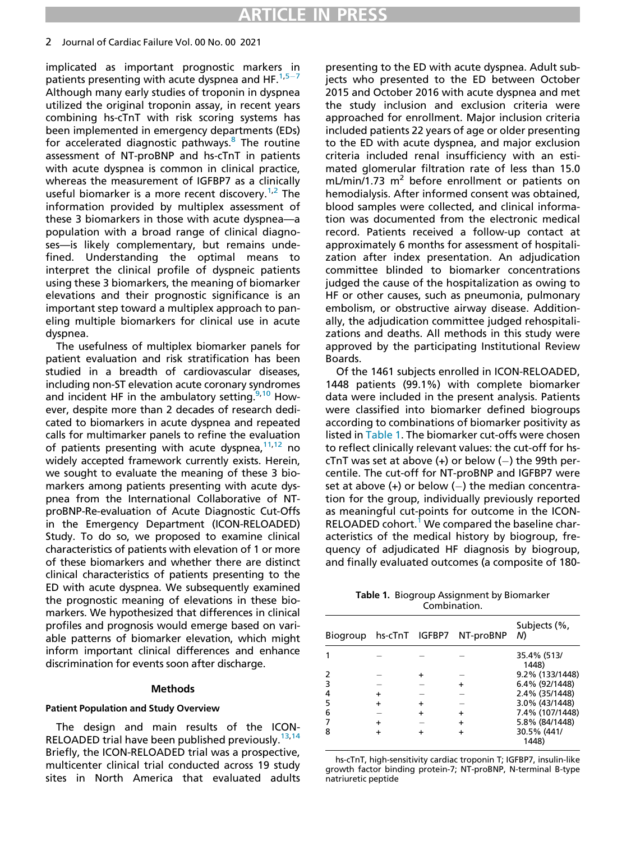# 2 Journal of Cardiac Failure Vol. 00 No. 00 2021

implicated as important prognostic markers in patients presenting with acute dyspnea and HF. $1,5-7$  $1,5-7$  $1,5-7$  $1,5-7$ Although many early studies of troponin in dyspnea utilized the original troponin assay, in recent years combining hs-cTnT with risk scoring systems has been implemented in emergency departments (EDs) for accelerated diagnostic pathways. $8$  The routine assessment of NT-proBNP and hs-cTnT in patients with acute dyspnea is common in clinical practice, whereas the measurement of IGFBP7 as a clinically useful biomarker is a more recent discovery.<sup>[1,](#page-8-0)[2](#page-8-3)</sup> The information provided by multiplex assessment of these 3 biomarkers in those with acute dyspnea—a population with a broad range of clinical diagnoses—is likely complementary, but remains undefined. Understanding the optimal means to interpret the clinical profile of dyspneic patients using these 3 biomarkers, the meaning of biomarker elevations and their prognostic significance is an important step toward a multiplex approach to paneling multiple biomarkers for clinical use in acute dyspnea.

The usefulness of multiplex biomarker panels for patient evaluation and risk stratification has been studied in a breadth of cardiovascular diseases, including non-ST elevation acute coronary syndromes and incident HF in the ambulatory setting.<sup>9[,10](#page-8-5)</sup> However, despite more than 2 decades of research dedicated to biomarkers in acute dyspnea and repeated calls for multimarker panels to refine the evaluation of patients presenting with acute dyspnea,  $11,12$  $11,12$  no widely accepted framework currently exists. Herein, we sought to evaluate the meaning of these 3 biomarkers among patients presenting with acute dyspnea from the International Collaborative of NTproBNP-Re-evaluation of Acute Diagnostic Cut-Offs in the Emergency Department (ICON-RELOADED) Study. To do so, we proposed to examine clinical characteristics of patients with elevation of 1 or more of these biomarkers and whether there are distinct clinical characteristics of patients presenting to the ED with acute dyspnea. We subsequently examined the prognostic meaning of elevations in these biomarkers. We hypothesized that differences in clinical profiles and prognosis would emerge based on variable patterns of biomarker elevation, which might inform important clinical differences and enhance discrimination for events soon after discharge.

#### Methods

#### <span id="page-3-0"></span>Patient Population and Study Overview

The design and main results of the ICON-RELOADED trial have been published previously.<sup>[13](#page-8-8)[,14](#page-8-9)</sup> Briefly, the ICON-RELOADED trial was a prospective, multicenter clinical trial conducted across 19 study sites in North America that evaluated adults

presenting to the ED with acute dyspnea. Adult subjects who presented to the ED between October 2015 and October 2016 with acute dyspnea and met the study inclusion and exclusion criteria were approached for enrollment. Major inclusion criteria included patients 22 years of age or older presenting to the ED with acute dyspnea, and major exclusion criteria included renal insufficiency with an estimated glomerular filtration rate of less than 15.0  $mL/min/1.73$  m<sup>2</sup> before enrollment or patients on hemodialysis. After informed consent was obtained, blood samples were collected, and clinical information was documented from the electronic medical record. Patients received a follow-up contact at approximately 6 months for assessment of hospitalization after index presentation. An adjudication committee blinded to biomarker concentrations judged the cause of the hospitalization as owing to HF or other causes, such as pneumonia, pulmonary embolism, or obstructive airway disease. Additionally, the adjudication committee judged rehospitalizations and deaths. All methods in this study were approved by the participating Institutional Review Boards.

Of the 1461 subjects enrolled in ICON-RELOADED, 1448 patients (99.1%) with complete biomarker data were included in the present analysis. Patients were classified into biomarker defined biogroups according to combinations of biomarker positivity as listed in [Table 1](#page-3-0). The biomarker cut-offs were chosen to reflect clinically relevant values: the cut-off for hscTnT was set at above  $(+)$  or below  $(-)$  the 99th percentile. The cut-off for NT-proBNP and IGFBP7 were set at above  $(+)$  or below  $(-)$  the median concentration for the group, individually previously reported as meaningful cut-points for outcome in the ICON-RELOADED cohort.<sup>[1](#page-8-0)</sup> We compared the baseline characteristics of the medical history by biogroup, frequency of adjudicated HF diagnosis by biogroup, and finally evaluated outcomes (a composite of 180-

Table 1. Biogroup Assignment by Biomarker Combination.

| Biogroup |  | hs-cTnT IGFBP7 NT-proBNP | Subjects (%,<br>N)   |
|----------|--|--------------------------|----------------------|
|          |  |                          | 35.4% (513/<br>1448) |
| 2        |  |                          | 9.2% (133/1448)      |
| 3        |  |                          | 6.4% (92/1448)       |
| 4        |  |                          | 2.4% (35/1448)       |
| 5        |  |                          | 3.0% (43/1448)       |
| 6        |  |                          | 7.4% (107/1448)      |
| 7        |  |                          | 5.8% (84/1448)       |
| 8        |  |                          | 30.5% (441/<br>1448) |

hs-cTnT, high-sensitivity cardiac troponin T; IGFBP7, insulin-like growth factor binding protein-7; NT-proBNP, N-terminal B-type natriuretic peptide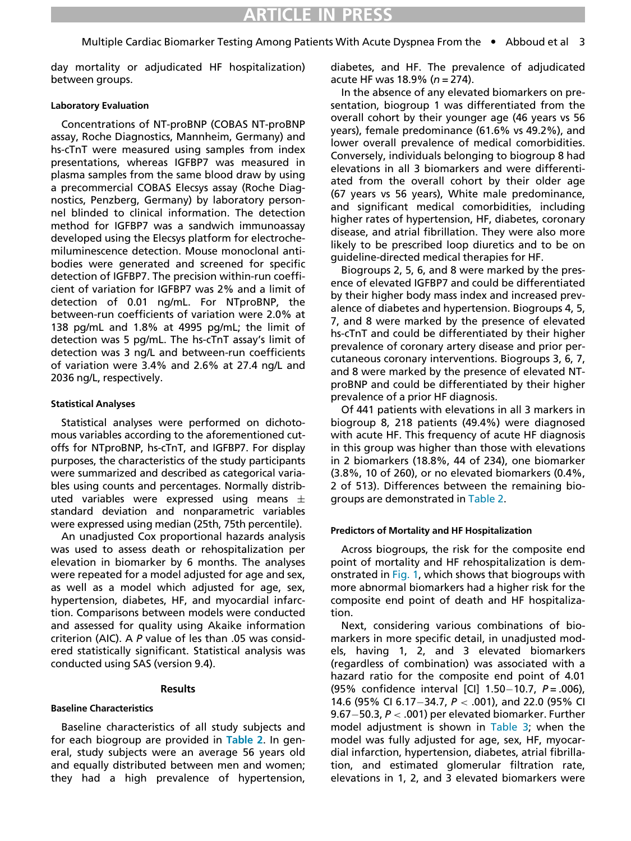day mortality or adjudicated HF hospitalization) between groups.

# Laboratory Evaluation

Concentrations of NT-proBNP (COBAS NT-proBNP assay, Roche Diagnostics, Mannheim, Germany) and hs-cTnT were measured using samples from index presentations, whereas IGFBP7 was measured in plasma samples from the same blood draw by using a precommercial COBAS Elecsys assay (Roche Diagnostics, Penzberg, Germany) by laboratory personnel blinded to clinical information. The detection method for IGFBP7 was a sandwich immunoassay developed using the Elecsys platform for electrochemiluminescence detection. Mouse monoclonal antibodies were generated and screened for specific detection of IGFBP7. The precision within-run coefficient of variation for IGFBP7 was 2% and a limit of detection of 0.01 ng/mL. For NTproBNP, the between-run coefficients of variation were 2.0% at 138 pg/mL and 1.8% at 4995 pg/mL; the limit of detection was 5 pg/mL. The hs-cTnT assay's limit of detection was 3 ng/L and between-run coefficients of variation were 3.4% and 2.6% at 27.4 ng/L and 2036 ng/L, respectively.

# Statistical Analyses

Statistical analyses were performed on dichotomous variables according to the aforementioned cutoffs for NTproBNP, hs-cTnT, and IGFBP7. For display purposes, the characteristics of the study participants were summarized and described as categorical variables using counts and percentages. Normally distributed variables were expressed using means  $\pm$ standard deviation and nonparametric variables were expressed using median (25th, 75th percentile).

An unadjusted Cox proportional hazards analysis was used to assess death or rehospitalization per elevation in biomarker by 6 months. The analyses were repeated for a model adjusted for age and sex, as well as a model which adjusted for age, sex, hypertension, diabetes, HF, and myocardial infarction. Comparisons between models were conducted and assessed for quality using Akaike information criterion (AIC). A P value of les than .05 was considered statistically significant. Statistical analysis was conducted using SAS (version 9.4).

## Results

# Baseline Characteristics

Baseline characteristics of all study subjects and for each biogroup are provided in [Table 2](#page-5-0). In general, study subjects were an average 56 years old and equally distributed between men and women; they had a high prevalence of hypertension, diabetes, and HF. The prevalence of adjudicated acute HF was  $18.9\%$  ( $n = 274$ ).

In the absence of any elevated biomarkers on presentation, biogroup 1 was differentiated from the overall cohort by their younger age (46 years vs 56 years), female predominance (61.6% vs 49.2%), and lower overall prevalence of medical comorbidities. Conversely, individuals belonging to biogroup 8 had elevations in all 3 biomarkers and were differentiated from the overall cohort by their older age (67 years vs 56 years), White male predominance, and significant medical comorbidities, including higher rates of hypertension, HF, diabetes, coronary disease, and atrial fibrillation. They were also more likely to be prescribed loop diuretics and to be on guideline-directed medical therapies for HF.

Biogroups 2, 5, 6, and 8 were marked by the presence of elevated IGFBP7 and could be differentiated by their higher body mass index and increased prevalence of diabetes and hypertension. Biogroups 4, 5, 7, and 8 were marked by the presence of elevated hs-cTnT and could be differentiated by their higher prevalence of coronary artery disease and prior percutaneous coronary interventions. Biogroups 3, 6, 7, and 8 were marked by the presence of elevated NTproBNP and could be differentiated by their higher prevalence of a prior HF diagnosis.

Of 441 patients with elevations in all 3 markers in biogroup 8, 218 patients (49.4%) were diagnosed with acute HF. This frequency of acute HF diagnosis in this group was higher than those with elevations in 2 biomarkers (18.8%, 44 of 234), one biomarker (3.8%, 10 of 260), or no elevated biomarkers (0.4%, 2 of 513). Differences between the remaining biogroups are demonstrated in [Table 2](#page-5-0).

## Predictors of Mortality and HF Hospitalization

Across biogroups, the risk for the composite end point of mortality and HF rehospitalization is demonstrated in [Fig. 1,](#page-6-0) which shows that biogroups with more abnormal biomarkers had a higher risk for the composite end point of death and HF hospitalization.

Next, considering various combinations of biomarkers in more specific detail, in unadjusted models, having 1, 2, and 3 elevated biomarkers (regardless of combination) was associated with a hazard ratio for the composite end point of 4.01 (95% confidence interval [CI] 1.50-10.7,  $P = .006$ ), 14.6 (95% CI 6.17-34.7,  $P < .001$ ), and 22.0 (95% CI 9.67–50.3,  $P < .001$ ) per elevated biomarker. Further model adjustment is shown in [Table 3](#page-6-1); when the model was fully adjusted for age, sex, HF, myocardial infarction, hypertension, diabetes, atrial fibrillation, and estimated glomerular filtration rate, elevations in 1, 2, and 3 elevated biomarkers were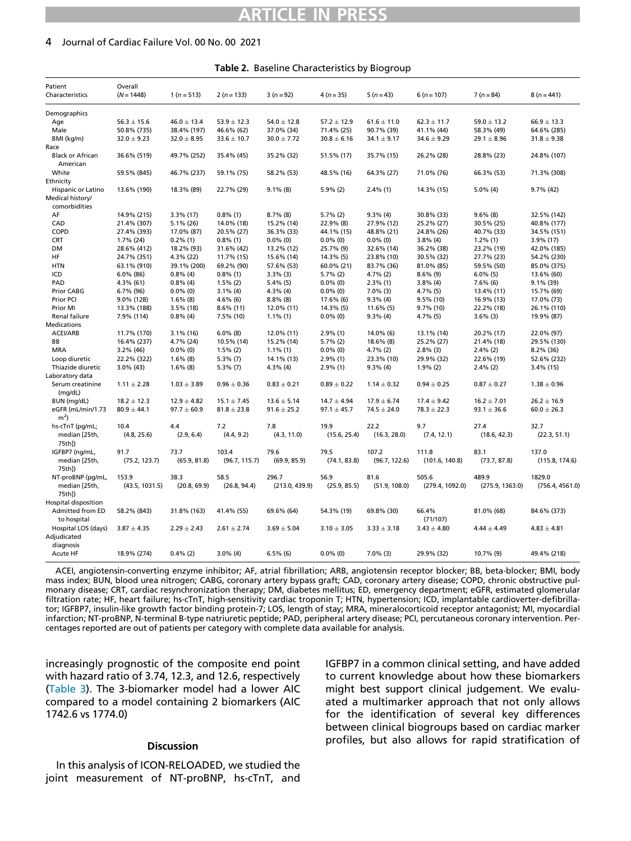# ARTICLE IN PRESS

## 4 Journal of Cardiac Failure Vol. 00 No. 00 2021

| Table 2. Baseline Characteristics by Biogroup |  |  |  |  |
|-----------------------------------------------|--|--|--|--|
|-----------------------------------------------|--|--|--|--|

<span id="page-5-0"></span>

| Patient<br>Characteristics          | Overall<br>$(N = 1448)$ | $1(n = 513)$         | $2(n=133)$             | $3(n=92)$            | $4(n=35)$            | $5(n=43)$              | $6(n = 107)$            | $7(n=84)$            | $8(n=441)$              |
|-------------------------------------|-------------------------|----------------------|------------------------|----------------------|----------------------|------------------------|-------------------------|----------------------|-------------------------|
| Demographics                        |                         |                      |                        |                      |                      |                        |                         |                      |                         |
| Age                                 | $56.3 \pm 15.6$         | $46.0 \pm 13.4$      | $53.9 \pm 12.3$        | $54.0 \pm 12.8$      | $57.2 \pm 12.9$      | $61.6 \pm 11.0$        | $62.3 \pm 11.7$         | $59.0 \pm 13.2$      | $66.9 \pm 13.3$         |
| Male                                | 50.8% (735)             | 38.4% (197)          | 46.6% (62)             | 37.0% (34)           | 71.4% (25)           | 90.7% (39)             | 41.1% (44)              | 58.3% (49)           | 64.6% (285)             |
| BMI (kg/m)                          | $32.0 \pm 9.23$         | $32.0 \pm 8.95$      | $33.6 \pm 10.7$        | $30.0 \pm 7.72$      | $30.8 \pm 6.16$      | $34.1 \pm 9.17$        | $34.6 \pm 9.29$         | $29.1 \pm 8.96$      | $31.8 \pm 9.38$         |
| Race                                |                         |                      |                        |                      |                      |                        |                         |                      |                         |
| <b>Black or African</b><br>American | 36.6% (519)             | 49.7% (252)          | 35.4% (45)             | 35.2% (32)           | 51.5% (17)           | 35.7% (15)             | 26.2% (28)              | 28.8% (23)           | 24.8% (107)             |
| White                               | 59.5% (845)             | 46.7% (237)          | 59.1% (75)             | 58.2% (53)           | 48.5% (16)           | 64.3% (27)             | 71.0% (76)              | 66.3% (53)           | 71.3% (308)             |
| Ethnicity                           |                         |                      |                        |                      |                      |                        |                         |                      |                         |
| Hispanic or Latino                  | 13.6% (190)             | 18.3% (89)           | 22.7% (29)             | $9.1\%$ (8)          | $5.9\%$ (2)          | $2.4\%$ (1)            | 14.3% (15)              | $5.0\%$ (4)          | 9.7% (42)               |
| Medical history/<br>comorbidities   |                         |                      |                        |                      |                      |                        |                         |                      |                         |
| AF                                  | 14.9% (215)             | $3.3\%$ (17)         | $0.8\%$ (1)            | $8.7\%$ (8)          | $5.7\%$ (2)          | $9.3\%$ (4)            | 30.8% (33)              | $9.6\%$ (8)          | 32.5% (142)             |
| CAD                                 | 21.4% (307)             | $5.1\%$ (26)         | 14.0% (18)             | 15.2% (14)           | 22.9% (8)            | 27.9% (12)             | 25.2% (27)              | 30.5% (25)           | 40.8% (177)             |
| COPD                                | 27.4% (393)             | 17.0% (87)           | 20.5% (27)             | 36.3% (33)           | 44.1% (15)           | 48.8% (21)             | 24.8% (26)              | 40.7% (33)           | 34.5% (151)             |
| <b>CRT</b>                          | 1.7% (24)               | $0.2\%$ (1)          | $0.8\%$ (1)            | $0.0\%$ (0)          | $0.0\%$ (0)          | $0.0\%$ (0)            | $3.8\%$ (4)             | $1.2\%$ (1)          | 3.9% (17)               |
| DM                                  | 28.6% (412)             | 18.2% (93)           | 31.6% (42)             | 13.2% (12)           | 25.7% (9)            | 32.6% (14)             | 36.2% (38)              | 23.2% (19)           | 42.0% (185)             |
| HF                                  | 24.7% (351)             | 4.3% (22)            | 11.7% (15)             | 15.6% (14)           | 14.3% (5)            | 23.8% (10)             | 30.5% (32)              | 27.7% (23)           | 54.2% (230)             |
| <b>HTN</b>                          | 63.1% (910)             | 39.1% (200)          | 69.2% (90)             | 57.6% (53)           | 60.0% (21)           | 83.7% (36)             | 81.0% (85)              | 59.5% (50)           | 85.0% (375)             |
| ICD                                 | 6.0% (86)               | $0.8\%$ (4)          | $0.8\%$ (1)            | $3.3\%$ (3)          | $5.7\%$ (2)          | $4.7\%$ (2)            | $8.6\%$ (9)             | $6.0\%$ (5)          | 13.6% (60)              |
| PAD                                 | $4.3\%$ (61)            | $0.8\%$ (4)          | $1.5\%$ (2)            | $5.4\%$ (5)          | $0.0\%$ (0)          | $2.3\%$ (1)            | $3.8\%$ (4)             | $7.6\%$ (6)          | $9.1\%$ (39)            |
| <b>Prior CABG</b>                   | 6.7% (96)               | $0.0\%$ (0)          | $3.1\%$ (4)            | $4.3\%$ (4)          | $0.0\%$ (0)          | $7.0\%$ (3)            | $4.7\%$ (5)             | 13.4% (11)           | 15.7% (69)              |
| Prior PCI                           | 9.0% (128)              | $1.6\%$ (8)          | $4.6\%$ (6)            | $8.8\%$ (8)          | 17.6% (6)            | $9.3\%$ (4)            | 9.5% (10)               | 16.9% (13)           | 17.0% (73)              |
| Prior MI                            | 13.3% (188)             | $3.5\%$ (18)         | $8.6\%$ (11)           | 12.0% (11)           | 14.3% (5)            | $11.6\%$ (5)           | 9.7% (10)               | 22.2% (18)           | 26.1% (110)             |
| Renal failure                       | 7.9% (114)              | $0.8\%$ (4)          | 7.5% (10)              | $1.1\%$ (1)          | $0.0\%$ (0)          | $9.3\%$ (4)            | $4.7\%$ (5)             | $3.6\%$ (3)          | 19.9% (87)              |
| Medications                         |                         |                      |                        |                      |                      |                        |                         |                      |                         |
| ACEI/ARB                            | 11.7% (170)             | $3.1\%$ (16)         | $6.0\%$ (8)            | 12.0% (11)           | $2.9\%$ (1)          | 14.0% (6)              | 13.1% (14)              | 20.2% (17)           | 22.0% (97)              |
| BB                                  | 16.4% (237)             | 4.7% (24)            | 10.5% (14)             | 15.2% (14)           | $5.7\%$ (2)          | 18.6% (8)              | 25.2% (27)              | 21.4% (18)           | 29.5% (130)             |
| <b>MRA</b>                          | $3.2\%$ (46)            | $0.0\%$ (0)          | $1.5\%$ (2)            | $1.1\%$ (1)          | $0.0\%$ (0)          | $4.7\%$ (2)            | $2.8\%$ (3)             | $2.4\%$ (2)          | 8.2% (36)               |
| Loop diuretic                       | 22.2% (322)             | $1.6\%$ (8)          | $5.3\%$ (7)            | 14.1% (13)           | $2.9\%$ (1)          | 23.3% (10)             | 29.9% (32)              | 22.6% (19)           | 52.6% (232)             |
| Thiazide diuretic                   | $3.0\%$ (43)            | $1.6\%$ (8)          | $5.3\%$ (7)            | $4.3\%$ (4)          | $2.9\%$ (1)          | $9.3\%$ (4)            | $1.9\%$ (2)             | $2.4\%$ (2)          | 3.4% (15)               |
| Laboratory data                     |                         |                      |                        |                      |                      |                        |                         |                      |                         |
| Serum creatinine<br>(mq/dL)         | $1.11 \pm 2.28$         | $1.03 \pm 3.89$      | $0.96 \pm 0.36$        | $0.83 \pm 0.21$      | $0.89 \pm 0.22$      | $1.14 \pm 0.32$        | $0.94 \pm 0.25$         | $0.87 \pm 0.27$      | $1.38 \pm 0.96$         |
| BUN (mg/dL)                         | $18.2 \pm 12.3$         | $12.9 \pm 4.82$      | $15.1 \pm 7.45$        | $13.6 \pm 5.14$      | $14.7 \pm 4.94$      | $17.9 \pm 6.74$        | $17.4 \pm 9.42$         | $16.2 \pm 7.01$      | $26.2 \pm 16.9$         |
| eGFR (mL/min/1.73<br>m <sup>2</sup> | $80.9 \pm 44.1$         | $97.7 \pm 60.9$      | $81.8 \pm 23.8$        | $91.6 \pm 25.2$      | $97.1 \pm 45.7$      | $74.5 \pm 24.0$        | $78.3 \pm 22.3$         | $93.1 \pm 36.6$      | $60.0 \pm 26.3$         |
| hs-cTnT (pg/mL;                     | 10.4                    | 4.4                  | 7.2                    | 7.8                  | 19.9                 | 22.2                   | 9.7                     | 27.4                 | 32.7                    |
| median [25th,<br>75th])             | (4.8, 25.6)             | (2.9, 6.4)           | (4.4, 9.2)             | (4.3, 11.0)          | (15.6, 25.4)         | (16.3, 28.0)           | (7.4, 12.1)             | (18.6, 42.3)         | (22.3, 51.1)            |
| IGFBP7 (ng/mL,<br>median [25th,     | 91.7<br>(75.2, 123.7)   | 73.7<br>(65.9, 81.8) | 103.4<br>(96.7, 115.7) | 79.6<br>(69.9, 85.9) | 79.5<br>(74.1, 83.8) | 107.2<br>(96.7, 122.6) | 111.8<br>(101.6, 140.8) | 83.1<br>(73.7, 87.8) | 137.0<br>(115.8, 174.6) |
| 75th <sub>1</sub> )                 |                         |                      |                        |                      |                      |                        |                         |                      |                         |
| NT-proBNP (pg/mL,                   | 153.9                   | 38.3                 | 58.5                   | 296.7                | 56.9                 | 81.6                   | 505.6                   | 489.9                | 1829.0                  |
| median [25th,<br>75th])             | (43.5, 1031.5)          | (20.8, 69.9)         | (26.8, 94.4)           | (213.0, 439.9)       | (25.9, 85.5)         | (51.9, 108.0)          | (279.4, 1092.0)         | (275.9, 1363.0)      | (756.4, 4561.0)         |
| Hospital disposition                |                         |                      |                        |                      |                      |                        |                         |                      |                         |
| Admitted from ED<br>to hospital     | 58.2% (843)             | 31.8% (163)          | 41.4% (55)             | 69.6% (64)           | 54.3% (19)           | 69.8% (30)             | 66.4%<br>(71/107)       | 81.0% (68)           | 84.6% (373)             |
| Hospital LOS (days)<br>Adjudicated  | $3.87 \pm 4.35$         | $2.29 \pm 2.43$      | $2.61 \pm 2.74$        | $3.69 \pm 5.04$      | $3.10 \pm 3.05$      | $3.33 \pm 3.18$        | $3.43 \pm 4.80$         | $4.44 \pm 4.49$      | $4.83 \pm 4.81$         |
| diagnosis                           |                         |                      |                        |                      |                      |                        |                         |                      |                         |
| Acute HF                            | 18.9% (274)             | $0.4\%$ (2)          | $3.0\%$ (4)            | $6.5\%$ (6)          | $0.0\%$ (0)          | $7.0\%$ (3)            | 29.9% (32)              | 10.7% (9)            | 49.4% (218)             |

ACEI, angiotensin-converting enzyme inhibitor; AF, atrial fibrillation; ARB, angiotensin receptor blocker; BB, beta-blocker; BMI, body mass index; BUN, blood urea nitrogen; CABG, coronary artery bypass graft; CAD, coronary artery disease; COPD, chronic obstructive pulmonary disease; CRT, cardiac resynchronization therapy; DM, diabetes mellitus; ED, emergency department; eGFR, estimated glomerular filtration rate; HF, heart failure; hs-cTnT, high-sensitivity cardiac troponin T; HTN, hypertension; ICD, implantable cardioverter-defibrillator; IGFBP7, insulin-like growth factor binding protein-7; LOS, length of stay; MRA, mineralocorticoid receptor antagonist; MI, myocardial infarction; NT-proBNP, N-terminal B-type natriuretic peptide; PAD, peripheral artery disease; PCI, percutaneous coronary intervention. Percentages reported are out of patients per category with complete data available for analysis.

increasingly prognostic of the composite end point with hazard ratio of 3.74, 12.3, and 12.6, respectively [\(Table 3\)](#page-6-1). The 3-biomarker model had a lower AIC compared to a model containing 2 biomarkers (AIC 1742.6 vs 1774.0)

#### Discussion

In this analysis of ICON-RELOADED, we studied the joint measurement of NT-proBNP, hs-cTnT, and IGFBP7 in a common clinical setting, and have added to current knowledge about how these biomarkers might best support clinical judgement. We evaluated a multimarker approach that not only allows for the identification of several key differences between clinical biogroups based on cardiac marker profiles, but also allows for rapid stratification of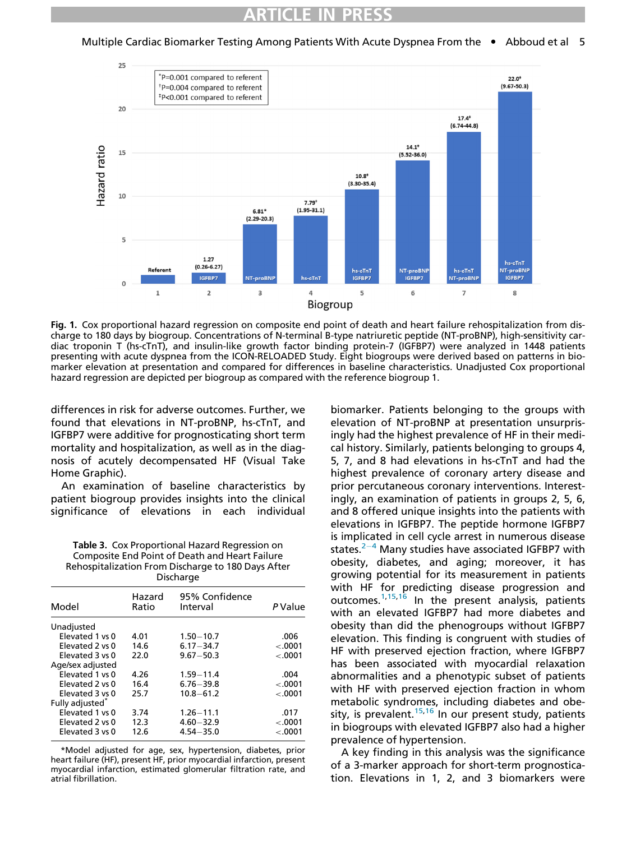# ARTICLE IN PRESS

<span id="page-6-0"></span>Multiple Cardiac Biomarker Testing Among Patients With Acute Dyspnea From the • Abboud et al 5



Fig. 1. Cox proportional hazard regression on composite end point of death and heart failure rehospitalization from discharge to 180 days by biogroup. Concentrations of N-terminal B-type natriuretic peptide (NT-proBNP), high-sensitivity cardiac troponin T (hs-cTnT), and insulin-like growth factor binding protein-7 (IGFBP7) were analyzed in 1448 patients presenting with acute dyspnea from the ICON-RELOADED Study. Eight biogroups were derived based on patterns in biomarker elevation at presentation and compared for differences in baseline characteristics. Unadjusted Cox proportional hazard regression are depicted per biogroup as compared with the reference biogroup 1.

differences in risk for adverse outcomes. Further, we found that elevations in NT-proBNP, hs-cTnT, and IGFBP7 were additive for prognosticating short term mortality and hospitalization, as well as in the diagnosis of acutely decompensated HF (Visual Take Home Graphic).

An examination of baseline characteristics by patient biogroup provides insights into the clinical significance of elevations in each individual

<span id="page-6-1"></span>Table 3. Cox Proportional Hazard Regression on Composite End Point of Death and Heart Failure Rehospitalization From Discharge to 180 Days After Discharge

| Model                       | Hazard<br>Ratio | 95% Confidence<br>Interval | P Value  |
|-----------------------------|-----------------|----------------------------|----------|
| Unadjusted                  |                 |                            |          |
| Flevated 1 ys 0             | 4.01            | $1.50 - 10.7$              | .006     |
| Elevated 2 vs 0             | 14.6            | $6.17 - 34.7$              | $-.0001$ |
| Elevated 3 vs 0             | 22.0            | $9.67 - 50.3$              | $-.0001$ |
| Age/sex adjusted            |                 |                            |          |
| Elevated 1 vs 0             | 4.26            | $1.59 - 11.4$              | .004     |
| Elevated 2 vs 0             | 16.4            | $6.76 - 39.8$              | $-.0001$ |
| Elevated 3 ys 0             | 25.7            | $10.8 - 61.2$              | $-.0001$ |
| Fully adjusted <sup>*</sup> |                 |                            |          |
| Elevated 1 vs 0             | 3.74            | $1.26 - 11.1$              | .017     |
| Elevated 2 vs 0             | 12.3            | $4.60 - 32.9$              | $-.0001$ |
| Elevated 3 vs 0             | 12.6            | $4.54 - 35.0$              | $-.0001$ |

\*Model adjusted for age, sex, hypertension, diabetes, prior heart failure (HF), present HF, prior myocardial infarction, present myocardial infarction, estimated glomerular filtration rate, and atrial fibrillation.

biomarker. Patients belonging to the groups with elevation of NT-proBNP at presentation unsurprisingly had the highest prevalence of HF in their medical history. Similarly, patients belonging to groups 4, 5, 7, and 8 had elevations in hs-cTnT and had the highest prevalence of coronary artery disease and prior percutaneous coronary interventions. Interestingly, an examination of patients in groups 2, 5, 6, and 8 offered unique insights into the patients with elevations in IGFBP7. The peptide hormone IGFBP7 is implicated in cell cycle arrest in numerous disease states. $2-4$  $2-4$  Many studies have associated IGFBP7 with obesity, diabetes, and aging; moreover, it has growing potential for its measurement in patients with HF for predicting disease progression and outcomes.<sup>[1,](#page-8-0)[15,](#page-8-10)[16](#page-8-11)</sup> In the present analysis, patients with an elevated IGFBP7 had more diabetes and obesity than did the phenogroups without IGFBP7 elevation. This finding is congruent with studies of HF with preserved ejection fraction, where IGFBP7 has been associated with myocardial relaxation abnormalities and a phenotypic subset of patients with HF with preserved ejection fraction in whom metabolic syndromes, including diabetes and obe-sity, is prevalent.<sup>[15](#page-8-10)[,16](#page-8-11)</sup> In our present study, patients in biogroups with elevated IGFBP7 also had a higher prevalence of hypertension.

A key finding in this analysis was the significance of a 3-marker approach for short-term prognostication. Elevations in 1, 2, and 3 biomarkers were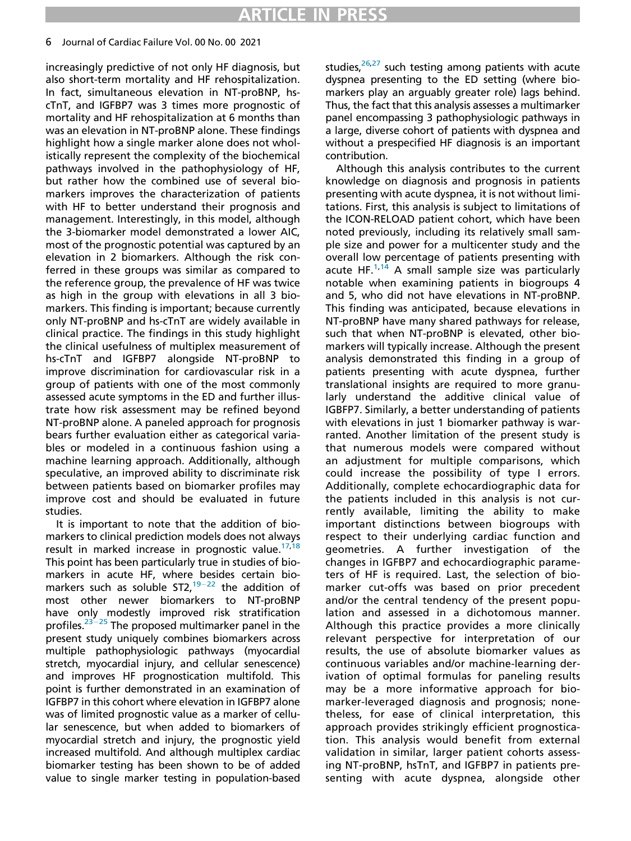## 6 Journal of Cardiac Failure Vol. 00 No. 00 2021

increasingly predictive of not only HF diagnosis, but also short-term mortality and HF rehospitalization. In fact, simultaneous elevation in NT-proBNP, hscTnT, and IGFBP7 was 3 times more prognostic of mortality and HF rehospitalization at 6 months than was an elevation in NT-proBNP alone. These findings highlight how a single marker alone does not wholistically represent the complexity of the biochemical pathways involved in the pathophysiology of HF, but rather how the combined use of several biomarkers improves the characterization of patients with HF to better understand their prognosis and management. Interestingly, in this model, although the 3-biomarker model demonstrated a lower AIC, most of the prognostic potential was captured by an elevation in 2 biomarkers. Although the risk conferred in these groups was similar as compared to the reference group, the prevalence of HF was twice as high in the group with elevations in all 3 biomarkers. This finding is important; because currently only NT-proBNP and hs-cTnT are widely available in clinical practice. The findings in this study highlight the clinical usefulness of multiplex measurement of hs-cTnT and IGFBP7 alongside NT-proBNP to improve discrimination for cardiovascular risk in a group of patients with one of the most commonly assessed acute symptoms in the ED and further illustrate how risk assessment may be refined beyond NT-proBNP alone. A paneled approach for prognosis bears further evaluation either as categorical variables or modeled in a continuous fashion using a machine learning approach. Additionally, although speculative, an improved ability to discriminate risk between patients based on biomarker profiles may improve cost and should be evaluated in future studies.

It is important to note that the addition of biomarkers to clinical prediction models does not always result in marked increase in prognostic value.<sup>17[,18](#page-8-13)</sup> This point has been particularly true in studies of biomarkers in acute HF, where besides certain biomarkers such as soluble  $ST2$ ,  $19-22$  $19-22$  the addition of most other newer biomarkers to NT-proBNP have only modestly improved risk stratification profiles. $23-25$  $23-25$  The proposed multimarker panel in the present study uniquely combines biomarkers across multiple pathophysiologic pathways (myocardial stretch, myocardial injury, and cellular senescence) and improves HF prognostication multifold. This point is further demonstrated in an examination of IGFBP7 in this cohort where elevation in IGFBP7 alone was of limited prognostic value as a marker of cellular senescence, but when added to biomarkers of myocardial stretch and injury, the prognostic yield increased multifold. And although multiplex cardiac biomarker testing has been shown to be of added value to single marker testing in population-based studies, $26,27$  $26,27$  such testing among patients with acute dyspnea presenting to the ED setting (where biomarkers play an arguably greater role) lags behind. Thus, the fact that this analysis assesses a multimarker panel encompassing 3 pathophysiologic pathways in a large, diverse cohort of patients with dyspnea and without a prespecified HF diagnosis is an important contribution.

Although this analysis contributes to the current knowledge on diagnosis and prognosis in patients presenting with acute dyspnea, it is not without limitations. First, this analysis is subject to limitations of the ICON-RELOAD patient cohort, which have been noted previously, including its relatively small sample size and power for a multicenter study and the overall low percentage of patients presenting with acute HF.<sup>[1,](#page-8-0)[14](#page-8-9)</sup> A small sample size was particularly notable when examining patients in biogroups 4 and 5, who did not have elevations in NT-proBNP. This finding was anticipated, because elevations in NT-proBNP have many shared pathways for release, such that when NT-proBNP is elevated, other biomarkers will typically increase. Although the present analysis demonstrated this finding in a group of patients presenting with acute dyspnea, further translational insights are required to more granularly understand the additive clinical value of IGBFP7. Similarly, a better understanding of patients with elevations in just 1 biomarker pathway is warranted. Another limitation of the present study is that numerous models were compared without an adjustment for multiple comparisons, which could increase the possibility of type I errors. Additionally, complete echocardiographic data for the patients included in this analysis is not currently available, limiting the ability to make important distinctions between biogroups with respect to their underlying cardiac function and geometries. A further investigation of the changes in IGFBP7 and echocardiographic parameters of HF is required. Last, the selection of biomarker cut-offs was based on prior precedent and/or the central tendency of the present population and assessed in a dichotomous manner. Although this practice provides a more clinically relevant perspective for interpretation of our results, the use of absolute biomarker values as continuous variables and/or machine-learning derivation of optimal formulas for paneling results may be a more informative approach for biomarker-leveraged diagnosis and prognosis; nonetheless, for ease of clinical interpretation, this approach provides strikingly efficient prognostication. This analysis would benefit from external validation in similar, larger patient cohorts assessing NT-proBNP, hsTnT, and IGFBP7 in patients presenting with acute dyspnea, alongside other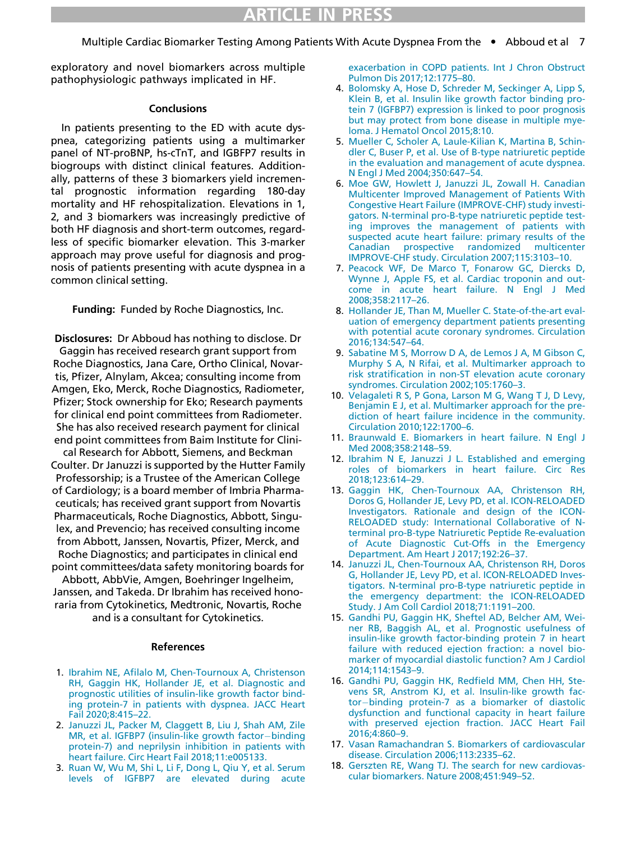# Multiple Cardiac Biomarker Testing Among Patients With Acute Dyspnea From the • Abboud et al 7

exploratory and novel biomarkers across multiple pathophysiologic pathways implicated in HF.

# **Conclusions**

<span id="page-8-1"></span>In patients presenting to the ED with acute dyspnea, categorizing patients using a multimarker panel of NT-proBNP, hs-cTnT, and IGBFP7 results in biogroups with distinct clinical features. Additionally, patterns of these 3 biomarkers yield incremental prognostic information regarding 180-day mortality and HF rehospitalization. Elevations in 1, 2, and 3 biomarkers was increasingly predictive of both HF diagnosis and short-term outcomes, regardless of specific biomarker elevation. This 3-marker approach may prove useful for diagnosis and prognosis of patients presenting with acute dyspnea in a common clinical setting.

Funding: Funded by Roche Diagnostics, Inc.

<span id="page-8-5"></span><span id="page-8-4"></span><span id="page-8-2"></span>Disclosures: Dr Abboud has nothing to disclose. Dr Gaggin has received research grant support from Roche Diagnostics, Jana Care, Ortho Clinical, Novartis, Pfizer, Alnylam, Akcea; consulting income from Amgen, Eko, Merck, Roche Diagnostics, Radiometer, Pfizer; Stock ownership for Eko; Research payments for clinical end point committees from Radiometer. She has also received research payment for clinical end point committees from Baim Institute for Clini-

<span id="page-8-8"></span><span id="page-8-7"></span><span id="page-8-6"></span>cal Research for Abbott, Siemens, and Beckman Coulter. Dr Januzzi is supported by the Hutter Family Professorship; is a Trustee of the American College of Cardiology; is a board member of Imbria Pharmaceuticals; has received grant support from Novartis Pharmaceuticals, Roche Diagnostics, Abbott, Singulex, and Prevencio; has received consulting income from Abbott, Janssen, Novartis, Pfizer, Merck, and Roche Diagnostics; and participates in clinical end point committees/data safety monitoring boards for

<span id="page-8-10"></span><span id="page-8-9"></span>Abbott, AbbVie, Amgen, Boehringer Ingelheim, Janssen, and Takeda. Dr Ibrahim has received honoraria from Cytokinetics, Medtronic, Novartis, Roche and is a consultant for Cytokinetics.

## References

- <span id="page-8-11"></span><span id="page-8-0"></span>1. Ibrahim NE, Afi[lalo M, Chen-Tournoux A, Christenson](http://refhub.elsevier.com/S1071-9164(21)00397-3/sbref0001) [RH, Gaggin HK, Hollander JE, et al. Diagnostic and](http://refhub.elsevier.com/S1071-9164(21)00397-3/sbref0001) [prognostic utilities of insulin-like growth factor bind](http://refhub.elsevier.com/S1071-9164(21)00397-3/sbref0001)[ing protein-7 in patients with dyspnea. JACC Heart](http://refhub.elsevier.com/S1071-9164(21)00397-3/sbref0001) [Fail 2020;8:415](http://refhub.elsevier.com/S1071-9164(21)00397-3/sbref0001)–22.
- <span id="page-8-12"></span><span id="page-8-3"></span>2. [Januzzi JL, Packer M, Claggett B, Liu J, Shah AM, Zile](http://refhub.elsevier.com/S1071-9164(21)00397-3/sbref0002) [MR, et al. IGFBP7 \(insulin-like growth factor](http://refhub.elsevier.com/S1071-9164(21)00397-3/sbref0002)-[binding](http://refhub.elsevier.com/S1071-9164(21)00397-3/sbref0002) [protein-7\) and neprilysin inhibition in patients with](http://refhub.elsevier.com/S1071-9164(21)00397-3/sbref0002) [heart failure. Circ Heart Fail 2018;11:e005133.](http://refhub.elsevier.com/S1071-9164(21)00397-3/sbref0002)
- <span id="page-8-13"></span>3. [Ruan W, Wu M, Shi L, Li F, Dong L, Qiu Y, et al. Serum](http://refhub.elsevier.com/S1071-9164(21)00397-3/sbref0003) [levels of IGFBP7 are elevated during acute](http://refhub.elsevier.com/S1071-9164(21)00397-3/sbref0003)

[exacerbation in COPD patients. Int J Chron Obstruct](http://refhub.elsevier.com/S1071-9164(21)00397-3/sbref0003) [Pulmon Dis 2017;12:1775](http://refhub.elsevier.com/S1071-9164(21)00397-3/sbref0003)–80.

- 4. [Bolomsky A, Hose D, Schreder M, Seckinger A, Lipp S,](http://refhub.elsevier.com/S1071-9164(21)00397-3/sbref0004) [Klein B, et al. Insulin like growth factor binding pro](http://refhub.elsevier.com/S1071-9164(21)00397-3/sbref0004)[tein 7 \(IGFBP7\) expression is linked to poor prognosis](http://refhub.elsevier.com/S1071-9164(21)00397-3/sbref0004) [but may protect from bone disease in multiple mye](http://refhub.elsevier.com/S1071-9164(21)00397-3/sbref0004)[loma. J Hematol Oncol 2015;8:10.](http://refhub.elsevier.com/S1071-9164(21)00397-3/sbref0004)
- 5. [Mueller C, Scholer A, Laule-Kilian K, Martina B, Schin](http://refhub.elsevier.com/S1071-9164(21)00397-3/sbref0005)[dler C, Buser P, et al. Use of B-type natriuretic peptide](http://refhub.elsevier.com/S1071-9164(21)00397-3/sbref0005) [in the evaluation and management of acute dyspnea.](http://refhub.elsevier.com/S1071-9164(21)00397-3/sbref0005) [N Engl J Med 2004;350:647](http://refhub.elsevier.com/S1071-9164(21)00397-3/sbref0005)–54.
- 6. [Moe GW, Howlett J, Januzzi JL, Zowall H. Canadian](http://refhub.elsevier.com/S1071-9164(21)00397-3/sbref0006) [Multicenter Improved Management of Patients With](http://refhub.elsevier.com/S1071-9164(21)00397-3/sbref0006) [Congestive Heart Failure \(IMPROVE-CHF\) study investi](http://refhub.elsevier.com/S1071-9164(21)00397-3/sbref0006)[gators. N-terminal pro-B-type natriuretic peptide test](http://refhub.elsevier.com/S1071-9164(21)00397-3/sbref0006)[ing improves the management of patients with](http://refhub.elsevier.com/S1071-9164(21)00397-3/sbref0006) [suspected acute heart failure: primary results of the](http://refhub.elsevier.com/S1071-9164(21)00397-3/sbref0006) [Canadian prospective randomized multicenter](http://refhub.elsevier.com/S1071-9164(21)00397-3/sbref0006) [IMPROVE-CHF study. Circulation 2007;115:3103](http://refhub.elsevier.com/S1071-9164(21)00397-3/sbref0006)–10.
- 7. [Peacock WF, De Marco T, Fonarow GC, Diercks D,](http://refhub.elsevier.com/S1071-9164(21)00397-3/sbref0007) [Wynne J, Apple FS, et al. Cardiac troponin and out](http://refhub.elsevier.com/S1071-9164(21)00397-3/sbref0007)[come in acute heart failure. N Engl J Med](http://refhub.elsevier.com/S1071-9164(21)00397-3/sbref0007) [2008;358:2117](http://refhub.elsevier.com/S1071-9164(21)00397-3/sbref0007)–26.
- 8. [Hollander JE, Than M, Mueller C. State-of-the-art eval](http://refhub.elsevier.com/S1071-9164(21)00397-3/sbref0008)[uation of emergency department patients presenting](http://refhub.elsevier.com/S1071-9164(21)00397-3/sbref0008) [with potential acute coronary syndromes. Circulation](http://refhub.elsevier.com/S1071-9164(21)00397-3/sbref0008) [2016;134:547](http://refhub.elsevier.com/S1071-9164(21)00397-3/sbref0008)–64.
- 9. [Sabatine M S, Morrow D A, de Lemos J A, M Gibson C,](http://refhub.elsevier.com/S1071-9164(21)00397-3/sbref0009) [Murphy S A, N Rifai, et al. Multimarker approach to](http://refhub.elsevier.com/S1071-9164(21)00397-3/sbref0009) risk stratifi[cation in non-ST elevation acute coronary](http://refhub.elsevier.com/S1071-9164(21)00397-3/sbref0009) [syndromes. Circulation 2002;105:1760](http://refhub.elsevier.com/S1071-9164(21)00397-3/sbref0009)–3.
- 10. [Velagaleti R S, P Gona, Larson M G, Wang T J, D Levy,](http://refhub.elsevier.com/S1071-9164(21)00397-3/sbref0010) [Benjamin E J, et al. Multimarker approach for the pre](http://refhub.elsevier.com/S1071-9164(21)00397-3/sbref0010)[diction of heart failure incidence in the community.](http://refhub.elsevier.com/S1071-9164(21)00397-3/sbref0010) [Circulation 2010;122:1700](http://refhub.elsevier.com/S1071-9164(21)00397-3/sbref0010)–6.
- 11. [Braunwald E. Biomarkers in heart failure. N Engl J](http://refhub.elsevier.com/S1071-9164(21)00397-3/sbref0011) [Med 2008;358:2148](http://refhub.elsevier.com/S1071-9164(21)00397-3/sbref0011)–59.
- 12. [Ibrahim N E, Januzzi J L. Established and emerging](http://refhub.elsevier.com/S1071-9164(21)00397-3/sbref0012) [roles of biomarkers in heart failure. Circ Res](http://refhub.elsevier.com/S1071-9164(21)00397-3/sbref0012) [2018;123:614](http://refhub.elsevier.com/S1071-9164(21)00397-3/sbref0012)–29.
- 13. [Gaggin HK, Chen-Tournoux AA, Christenson RH,](http://refhub.elsevier.com/S1071-9164(21)00397-3/sbref0013) [Doros G, Hollander JE, Levy PD, et al. ICON-RELOADED](http://refhub.elsevier.com/S1071-9164(21)00397-3/sbref0013) [Investigators. Rationale and design of the ICON-](http://refhub.elsevier.com/S1071-9164(21)00397-3/sbref0013)[RELOADED study: International Collaborative of N](http://refhub.elsevier.com/S1071-9164(21)00397-3/sbref0013)[terminal pro-B-type Natriuretic Peptide Re-evaluation](http://refhub.elsevier.com/S1071-9164(21)00397-3/sbref0013) [of Acute Diagnostic Cut-Offs in the Emergency](http://refhub.elsevier.com/S1071-9164(21)00397-3/sbref0013) [Department. Am Heart J 2017;192:26](http://refhub.elsevier.com/S1071-9164(21)00397-3/sbref0013)–37.
- 14. [Januzzi JL, Chen-Tournoux AA, Christenson RH, Doros](http://refhub.elsevier.com/S1071-9164(21)00397-3/sbref0014) [G, Hollander JE, Levy PD, et al. ICON-RELOADED Inves](http://refhub.elsevier.com/S1071-9164(21)00397-3/sbref0014)[tigators. N-terminal pro-B-type natriuretic peptide in](http://refhub.elsevier.com/S1071-9164(21)00397-3/sbref0014) [the emergency department: the ICON-RELOADED](http://refhub.elsevier.com/S1071-9164(21)00397-3/sbref0014) [Study. J Am Coll Cardiol 2018;71:1191](http://refhub.elsevier.com/S1071-9164(21)00397-3/sbref0014)–200.
- 15. [Gandhi PU, Gaggin HK, Sheftel AD, Belcher AM, Wei](http://refhub.elsevier.com/S1071-9164(21)00397-3/sbref0015)[ner RB, Baggish AL, et al. Prognostic usefulness of](http://refhub.elsevier.com/S1071-9164(21)00397-3/sbref0015) [insulin-like growth factor-binding protein 7 in heart](http://refhub.elsevier.com/S1071-9164(21)00397-3/sbref0015) [failure with reduced ejection fraction: a novel bio](http://refhub.elsevier.com/S1071-9164(21)00397-3/sbref0015)[marker of myocardial diastolic function? Am J Cardiol](http://refhub.elsevier.com/S1071-9164(21)00397-3/sbref0015) [2014;114:1543](http://refhub.elsevier.com/S1071-9164(21)00397-3/sbref0015)–9.
- 16. [Gandhi PU, Gaggin HK, Red](http://refhub.elsevier.com/S1071-9164(21)00397-3/sbref0016)field MM, Chen HH, Ste[vens SR, Anstrom KJ, et al. Insulin-like growth fac](http://refhub.elsevier.com/S1071-9164(21)00397-3/sbref0016)[tor](http://refhub.elsevier.com/S1071-9164(21)00397-3/sbref0016)-[binding protein-7 as a biomarker of diastolic](http://refhub.elsevier.com/S1071-9164(21)00397-3/sbref0016) [dysfunction and functional capacity in heart failure](http://refhub.elsevier.com/S1071-9164(21)00397-3/sbref0016) [with preserved ejection fraction. JACC Heart Fail](http://refhub.elsevier.com/S1071-9164(21)00397-3/sbref0016) [2016;4:860](http://refhub.elsevier.com/S1071-9164(21)00397-3/sbref0016)–9.
- 17. [Vasan Ramachandran S. Biomarkers of cardiovascular](http://refhub.elsevier.com/S1071-9164(21)00397-3/sbref0017) [disease. Circulation 2006;113:2335](http://refhub.elsevier.com/S1071-9164(21)00397-3/sbref0017)–62.
- 18. [Gerszten RE, Wang TJ. The search for new cardiovas](http://refhub.elsevier.com/S1071-9164(21)00397-3/sbref0018)[cular biomarkers. Nature 2008;451:949](http://refhub.elsevier.com/S1071-9164(21)00397-3/sbref0018)–52.